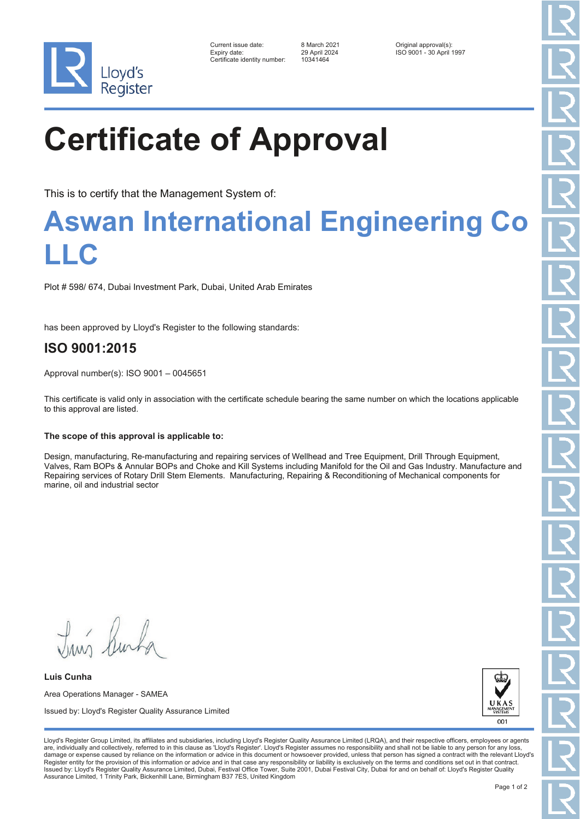

| Current issue date:          | 8 March 2021  | Original approval(s):    |
|------------------------------|---------------|--------------------------|
| Expiry date:                 | 29 April 2024 | ISO 9001 - 30 April 1997 |
| Certificate identity number: | 10341464      |                          |

# **Certificate of Approval**

This is to certify that the Management System of:

### **Aswan International Engineering Co LLC**

Plot # 598/ 674, Dubai Investment Park, Dubai, United Arab Emirates

has been approved by Lloyd's Register to the following standards:

### **ISO 9001:2015**

Approval number(s): ISO 9001 – 0045651

This certificate is valid only in association with the certificate schedule bearing the same number on which the locations applicable to this approval are listed.

#### **The scope of this approval is applicable to:**

Design, manufacturing, Re-manufacturing and repairing services of Wellhead and Tree Equipment, Drill Through Equipment, Valves, Ram BOPs & Annular BOPs and Choke and Kill Systems including Manifold for the Oil and Gas Industry. Manufacture and Repairing services of Rotary Drill Stem Elements. Manufacturing, Repairing & Reconditioning of Mechanical components for marine, oil and industrial sector

Truis Rusha

**Luis Cunha** Area Operations Manager - SAMEA Issued by: Lloyd's Register Quality Assurance Limited



Lloyd's Register Group Limited, its affiliates and subsidiaries, including Lloyd's Register Quality Assurance Limited (LRQA), and their respective officers, employees or agents are, individually and collectively, referred to in this clause as 'Lloyd's Register'. Lloyd's Register assumes no responsibility and shall not be liable to any person for any los damage or expense caused by reliance on the information or advice in this document or howsoever provided, unless that person has signed a contract with the relevant Lloyd's<br>Register entity for the provision of this informa Issued by: Lloyd's Register Quality Assurance Limited, Dubai, Festival Office Tower, Suite 2001, Dubai Festival City, Dubai for and on behalf of: Lloyd's Register Quality Assurance Limited, 1 Trinity Park, Bickenhill Lane, Birmingham B37 7ES, United Kingdom